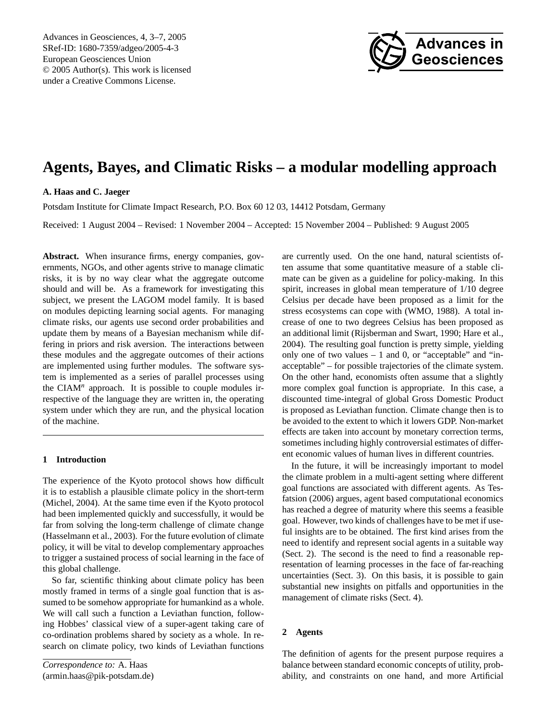Advances in Geosciences, 4, 3[–7,](#page-0-0) 2005 SRef-ID: 1680-7359/adgeo/2005-4-3 European Geosciences Union © 2005 Author(s). This work is licensed under a Creative Commons License.



# **Agents, Bayes, and Climatic Risks – a modular modelling approach**

## **A. Haas and C. Jaeger**

Potsdam Institute for Climate Impact Research, P.O. Box 60 12 03, 14412 Potsdam, Germany

Received: 1 August 2004 – Revised: 1 November 2004 – Accepted: 15 November 2004 – Published: 9 August 2005

**Abstract.** When insurance firms, energy companies, governments, NGOs, and other agents strive to manage climatic risks, it is by no way clear what the aggregate outcome should and will be. As a framework for investigating this subject, we present the LAGOM model family. It is based on modules depicting learning social agents. For managing climate risks, our agents use second order probabilities and update them by means of a Bayesian mechanism while differing in priors and risk aversion. The interactions between these modules and the aggregate outcomes of their actions are implemented using further modules. The software system is implemented as a series of parallel processes using the CIAM<sup>n</sup> approach. It is possible to couple modules irrespective of the language they are written in, the operating system under which they are run, and the physical location of the machine.

## **1 Introduction**

The experience of the Kyoto protocol shows how difficult it is to establish a plausible climate policy in the short-term (Michel, 2004). At the same time even if the Kyoto protocol had been implemented quickly and successfully, it would be far from solving the long-term challenge of climate change (Hasselmann et al., 2003). For the future evolution of climate policy, it will be vital to develop complementary approaches to trigger a sustained process of social learning in the face of this global challenge.

So far, scientific thinking about climate policy has been mostly framed in terms of a single goal function that is assumed to be somehow appropriate for humankind as a whole. We will call such a function a Leviathan function, following Hobbes' classical view of a super-agent taking care of co-ordination problems shared by society as a whole. In research on climate policy, two kinds of Leviathan functions

<span id="page-0-0"></span>*Correspondence to:* A. Haas (armin.haas@pik-potsdam.de) are currently used. On the one hand, natural scientists often assume that some quantitative measure of a stable climate can be given as a guideline for policy-making. In this spirit, increases in global mean temperature of 1/10 degree Celsius per decade have been proposed as a limit for the stress ecosystems can cope with (WMO, 1988). A total increase of one to two degrees Celsius has been proposed as an additional limit (Rijsberman and Swart, 1990; Hare et al., 2004). The resulting goal function is pretty simple, yielding only one of two values  $-1$  and 0, or "acceptable" and "inacceptable" – for possible trajectories of the climate system. On the other hand, economists often assume that a slightly more complex goal function is appropriate. In this case, a discounted time-integral of global Gross Domestic Product is proposed as Leviathan function. Climate change then is to be avoided to the extent to which it lowers GDP. Non-market effects are taken into account by monetary correction terms, sometimes including highly controversial estimates of different economic values of human lives in different countries.

In the future, it will be increasingly important to model the climate problem in a multi-agent setting where different goal functions are associated with different agents. As Tesfatsion (2006) argues, agent based computational economics has reached a degree of maturity where this seems a feasible goal. However, two kinds of challenges have to be met if useful insights are to be obtained. The first kind arises from the need to identify and represent social agents in a suitable way (Sect. 2). The second is the need to find a reasonable representation of learning processes in the face of far-reaching uncertainties (Sect. 3). On this basis, it is possible to gain substantial new insights on pitfalls and opportunities in the management of climate risks (Sect. 4).

## **2 Agents**

The definition of agents for the present purpose requires a balance between standard economic concepts of utility, probability, and constraints on one hand, and more Artificial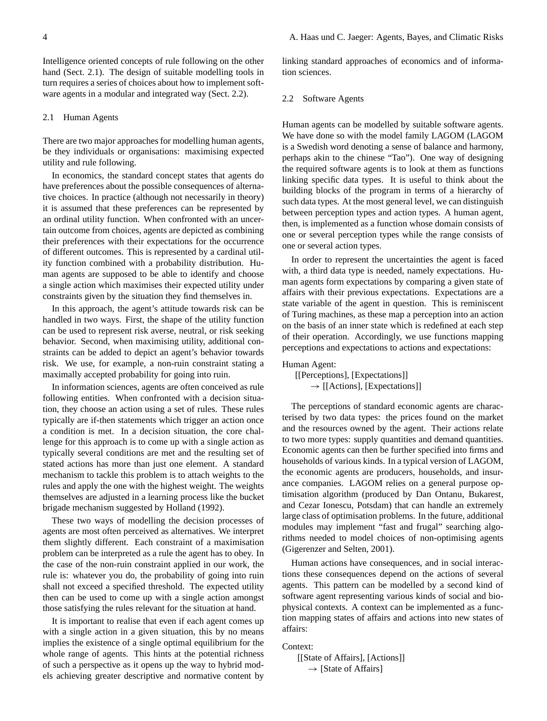Intelligence oriented concepts of rule following on the other hand (Sect. 2.1). The design of suitable modelling tools in turn requires a series of choices about how to implement software agents in a modular and integrated way (Sect. 2.2).

## 2.1 Human Agents

There are two major approaches for modelling human agents, be they individuals or organisations: maximising expected utility and rule following.

In economics, the standard concept states that agents do have preferences about the possible consequences of alternative choices. In practice (although not necessarily in theory) it is assumed that these preferences can be represented by an ordinal utility function. When confronted with an uncertain outcome from choices, agents are depicted as combining their preferences with their expectations for the occurrence of different outcomes. This is represented by a cardinal utility function combined with a probability distribution. Human agents are supposed to be able to identify and choose a single action which maximises their expected utility under constraints given by the situation they find themselves in.

In this approach, the agent's attitude towards risk can be handled in two ways. First, the shape of the utility function can be used to represent risk averse, neutral, or risk seeking behavior. Second, when maximising utility, additional constraints can be added to depict an agent's behavior towards risk. We use, for example, a non-ruin constraint stating a maximally accepted probability for going into ruin.

In information sciences, agents are often conceived as rule following entities. When confronted with a decision situation, they choose an action using a set of rules. These rules typically are if-then statements which trigger an action once a condition is met. In a decision situation, the core challenge for this approach is to come up with a single action as typically several conditions are met and the resulting set of stated actions has more than just one element. A standard mechanism to tackle this problem is to attach weights to the rules and apply the one with the highest weight. The weights themselves are adjusted in a learning process like the bucket brigade mechanism suggested by Holland (1992).

These two ways of modelling the decision processes of agents are most often perceived as alternatives. We interpret them slightly different. Each constraint of a maximisation problem can be interpreted as a rule the agent has to obey. In the case of the non-ruin constraint applied in our work, the rule is: whatever you do, the probability of going into ruin shall not exceed a specified threshold. The expected utility then can be used to come up with a single action amongst those satisfying the rules relevant for the situation at hand.

It is important to realise that even if each agent comes up with a single action in a given situation, this by no means implies the existence of a single optimal equilibrium for the whole range of agents. This hints at the potential richness of such a perspective as it opens up the way to hybrid models achieving greater descriptive and normative content by linking standard approaches of economics and of information sciences.

## 2.2 Software Agents

Human agents can be modelled by suitable software agents. We have done so with the model family LAGOM (LAGOM is a Swedish word denoting a sense of balance and harmony, perhaps akin to the chinese "Tao"). One way of designing the required software agents is to look at them as functions linking specific data types. It is useful to think about the building blocks of the program in terms of a hierarchy of such data types. At the most general level, we can distinguish between perception types and action types. A human agent, then, is implemented as a function whose domain consists of one or several perception types while the range consists of one or several action types.

In order to represent the uncertainties the agent is faced with, a third data type is needed, namely expectations. Human agents form expectations by comparing a given state of affairs with their previous expectations. Expectations are a state variable of the agent in question. This is reminiscent of Turing machines, as these map a perception into an action on the basis of an inner state which is redefined at each step of their operation. Accordingly, we use functions mapping perceptions and expectations to actions and expectations:

### Human Agent:

[[Perceptions], [Expectations]]  $\rightarrow$  [[Actions], [Expectations]]

The perceptions of standard economic agents are characterised by two data types: the prices found on the market and the resources owned by the agent. Their actions relate to two more types: supply quantities and demand quantities. Economic agents can then be further specified into firms and households of various kinds. In a typical version of LAGOM, the economic agents are producers, households, and insurance companies. LAGOM relies on a general purpose optimisation algorithm (produced by Dan Ontanu, Bukarest, and Cezar Ionescu, Potsdam) that can handle an extremely large class of optimisation problems. In the future, additional modules may implement "fast and frugal" searching algorithms needed to model choices of non-optimising agents (Gigerenzer and Selten, 2001).

Human actions have consequences, and in social interactions these consequences depend on the actions of several agents. This pattern can be modelled by a second kind of software agent representing various kinds of social and biophysical contexts. A context can be implemented as a function mapping states of affairs and actions into new states of affairs:

## Context:

```
[[State of Affairs], [Actions]]
\rightarrow [State of Affairs]
```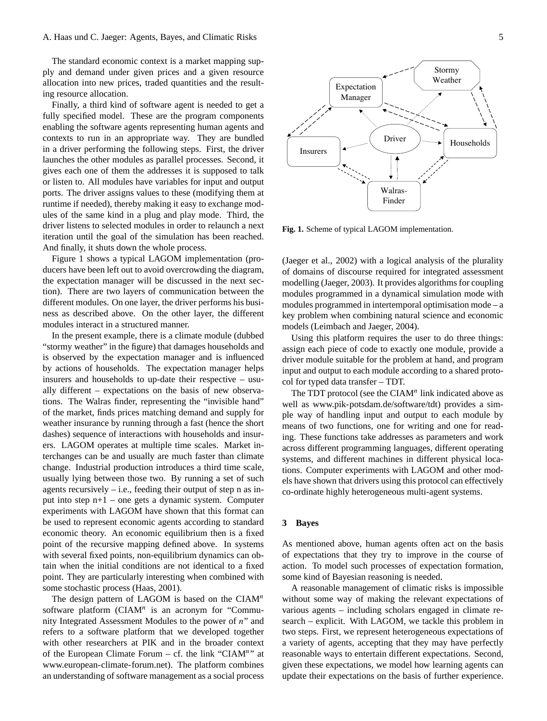The standard economic context is a market mapping supply and demand under given prices and a given resource allocation into new prices, traded quantities and the resulting resource allocation.

Finally, a third kind of software agent is needed to get a fully specified model. These are the program components enabling the software agents representing human agents and contexts to run in an appropriate way. They are bundled in a driver performing the following steps. First, the driver launches the other modules as parallel processes. Second, it gives each one of them the addresses it is supposed to talk or listen to. All modules have variables for input and output ports. The driver assigns values to these (modifying them at runtime if needed), thereby making it easy to exchange modules of the same kind in a plug and play mode. Third, the driver listens to selected modules in order to relaunch a next iteration until the goal of the simulation has been reached. And finally, it shuts down the whole process.

Figure [1](#page-2-0) shows a typical LAGOM implementation (producers have been left out to avoid overcrowding the diagram, the expectation manager will be discussed in the next section). There are two layers of communication between the different modules. On one layer, the driver performs his business as described above. On the other layer, the different modules interact in a structured manner.

In the present example, there is a climate module (dubbed "stormy weather" in the figure) that damages households and is observed by the expectation manager and is influenced by actions of households. The expectation manager helps insurers and households to up-date their respective – usually different – expectations on the basis of new observations. The Walras finder, representing the "invisible hand" of the market, finds prices matching demand and supply for weather insurance by running through a fast (hence the short dashes) sequence of interactions with households and insurers. LAGOM operates at multiple time scales. Market interchanges can be and usually are much faster than climate change. Industrial production introduces a third time scale, usually lying between those two. By running a set of such agents recursively  $-$  i.e., feeding their output of step n as input into step n+1 – one gets a dynamic system. Computer experiments with LAGOM have shown that this format can be used to represent economic agents according to standard economic theory. An economic equilibrium then is a fixed point of the recursive mapping defined above. In systems with several fixed points, non-equilibrium dynamics can obtain when the initial conditions are not identical to a fixed point. They are particularly interesting when combined with some stochastic process (Haas, 2001).

The design pattern of LAGOM is based on the  $CIAM<sup>n</sup>$ software platform  $(CIAM<sup>n</sup>$  is an acronym for "Community Integrated Assessment Modules to the power of n" and refers to a software platform that we developed together with other researchers at PIK and in the broader context of the European Climate Forum  $-$  cf. the link "CIAM"" at [www.european-climate-forum.net\)](www.european-climate-forum.net). The platform combines an understanding of software management as a social process



<span id="page-2-0"></span>**Fig. 1.** Scheme of typical LAGOM implementation.

(Jaeger et al., 2002) with a logical analysis of the plurality of domains of discourse required for integrated assessment modelling (Jaeger, 2003). It provides algorithms for coupling modules programmed in a dynamical simulation mode with modules programmed in intertemporal optimisation mode – a key problem when combining natural science and economic models (Leimbach and Jaeger, 2004).

Using this platform requires the user to do three things: assign each piece of code to exactly one module, provide a driver module suitable for the problem at hand, and program input and output to each module according to a shared protocol for typed data transfer – TDT.

The TDT protocol (see the  $CIAM<sup>n</sup>$  link indicated above as well as [www.pik-potsdam.de/software/tdt\)](www.pik-potsdam.de/software/tdt) provides a simple way of handling input and output to each module by means of two functions, one for writing and one for reading. These functions take addresses as parameters and work across different programming languages, different operating systems, and different machines in different physical locations. Computer experiments with LAGOM and other models have shown that drivers using this protocol can effectively co-ordinate highly heterogeneous multi-agent systems.

## **3 Bayes**

As mentioned above, human agents often act on the basis of expectations that they try to improve in the course of action. To model such processes of expectation formation, some kind of Bayesian reasoning is needed.

A reasonable management of climatic risks is impossible without some way of making the relevant expectations of various agents – including scholars engaged in climate research – explicit. With LAGOM, we tackle this problem in two steps. First, we represent heterogeneous expectations of a variety of agents, accepting that they may have perfectly reasonable ways to entertain different expectations. Second, given these expectations, we model how learning agents can update their expectations on the basis of further experience.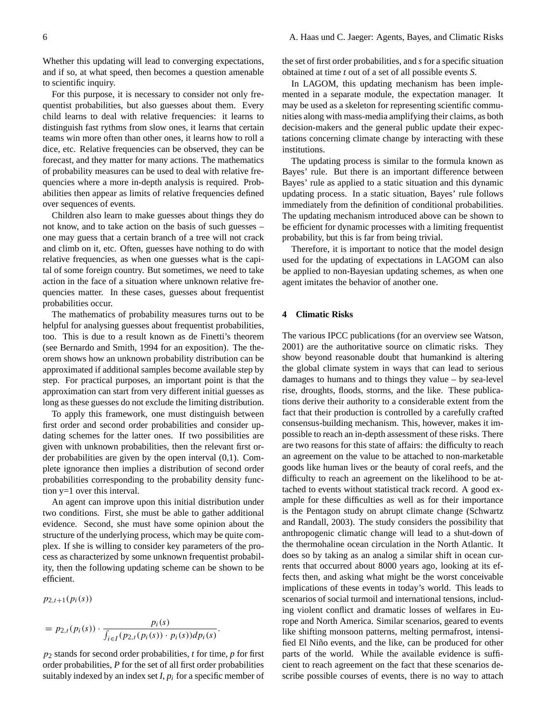Whether this updating will lead to converging expectations, and if so, at what speed, then becomes a question amenable to scientific inquiry.

For this purpose, it is necessary to consider not only frequentist probabilities, but also guesses about them. Every child learns to deal with relative frequencies: it learns to distinguish fast rythms from slow ones, it learns that certain teams win more often than other ones, it learns how to roll a dice, etc. Relative frequencies can be observed, they can be forecast, and they matter for many actions. The mathematics of probability measures can be used to deal with relative frequencies where a more in-depth analysis is required. Probabilities then appear as limits of relative frequencies defined over sequences of events.

Children also learn to make guesses about things they do not know, and to take action on the basis of such guesses – one may guess that a certain branch of a tree will not crack and climb on it, etc. Often, guesses have nothing to do with relative frequencies, as when one guesses what is the capital of some foreign country. But sometimes, we need to take action in the face of a situation where unknown relative frequencies matter. In these cases, guesses about frequentist probabilities occur.

The mathematics of probability measures turns out to be helpful for analysing guesses about frequentist probabilities, too. This is due to a result known as de Finetti's theorem (see Bernardo and Smith, 1994 for an exposition). The theorem shows how an unknown probability distribution can be approximated if additional samples become available step by step. For practical purposes, an important point is that the approximation can start from very different initial guesses as long as these guesses do not exclude the limiting distribution.

To apply this framework, one must distinguish between first order and second order probabilities and consider updating schemes for the latter ones. If two possibilities are given with unknown probabilities, then the relevant first order probabilities are given by the open interval (0,1). Complete ignorance then implies a distribution of second order probabilities corresponding to the probability density function y=1 over this interval.

An agent can improve upon this initial distribution under two conditions. First, she must be able to gather additional evidence. Second, she must have some opinion about the structure of the underlying process, which may be quite complex. If she is willing to consider key parameters of the process as characterized by some unknown frequentist probability, then the following updating scheme can be shown to be efficient.

 $p_{2,t+1}(p_i(s))$ 

$$
= p_{2,t}(p_i(s)) \cdot \frac{p_i(s)}{\int_{i \in I} (p_{2,t}(p_i(s)) \cdot p_i(s)) dp_i(s)}.
$$

p<sup>2</sup> stands for second order probabilities, *t* for time, *p* for first order probabilities, *P* for the set of all first order probabilities suitably indexed by an index set  $I$ ,  $p_i$  for a specific member of the set of first order probabilities, and *s* for a specific situation obtained at time *t* out of a set of all possible events *S*.

In LAGOM, this updating mechanism has been implemented in a separate module, the expectation manager. It may be used as a skeleton for representing scientific communities along with mass-media amplifying their claims, as both decision-makers and the general public update their expectations concerning climate change by interacting with these institutions.

The updating process is similar to the formula known as Bayes' rule. But there is an important difference between Bayes' rule as applied to a static situation and this dynamic updating process. In a static situation, Bayes' rule follows immediately from the definition of conditional probabilities. The updating mechanism introduced above can be shown to be efficient for dynamic processes with a limiting frequentist probability, but this is far from being trivial.

Therefore, it is important to notice that the model design used for the updating of expectations in LAGOM can also be applied to non-Bayesian updating schemes, as when one agent imitates the behavior of another one.

## **4 Climatic Risks**

The various IPCC publications (for an overview see Watson, 2001) are the authoritative source on climatic risks. They show beyond reasonable doubt that humankind is altering the global climate system in ways that can lead to serious damages to humans and to things they value – by sea-level rise, droughts, floods, storms, and the like. These publications derive their authority to a considerable extent from the fact that their production is controlled by a carefully crafted consensus-building mechanism. This, however, makes it impossible to reach an in-depth assessment of these risks. There are two reasons for this state of affairs: the difficulty to reach an agreement on the value to be attached to non-marketable goods like human lives or the beauty of coral reefs, and the difficulty to reach an agreement on the likelihood to be attached to events without statistical track record. A good example for these difficulties as well as for their importance is the Pentagon study on abrupt climate change (Schwartz and Randall, 2003). The study considers the possibility that anthropogenic climatic change will lead to a shut-down of the thermohaline ocean circulation in the North Atlantic. It does so by taking as an analog a similar shift in ocean currents that occurred about 8000 years ago, looking at its effects then, and asking what might be the worst conceivable implications of these events in today's world. This leads to scenarios of social turmoil and international tensions, including violent conflict and dramatic losses of welfares in Europe and North America. Similar scenarios, geared to events like shifting monsoon patterns, melting permafrost, intensified El Niño events, and the like, can be produced for other parts of the world. While the available evidence is sufficient to reach agreement on the fact that these scenarios describe possible courses of events, there is no way to attach